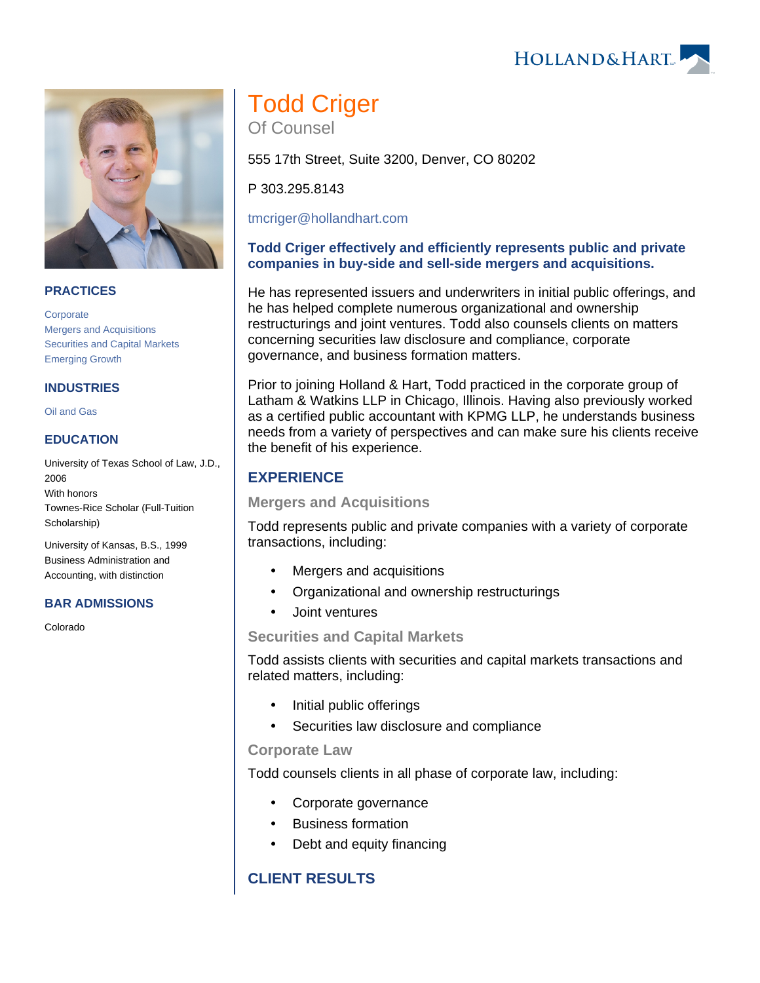



#### **PRACTICES**

**[Corporate](https://www.hollandhart.com/19668)** [Mergers and Acquisitions](https://www.hollandhart.com/19748) [Securities and Capital Markets](https://www.hollandhart.com/19739) [Emerging Growth](https://www.hollandhart.com/19757)

#### **INDUSTRIES**

[Oil and Gas](https://www.hollandhart.com/19705)

#### **EDUCATION**

University of Texas School of Law, J.D., 2006 With honors Townes-Rice Scholar (Full-Tuition Scholarship)

University of Kansas, B.S., 1999 Business Administration and Accounting, with distinction

#### **BAR ADMISSIONS**

Colorado

# Todd Criger

Of Counsel

555 17th Street, Suite 3200, Denver, CO 80202

P 303.295.8143

[tmcriger@hollandhart.com](mailto:tmcriger@hollandhart.com)

### **Todd Criger effectively and efficiently represents public and private companies in buy-side and sell-side mergers and acquisitions.**

He has represented issuers and underwriters in initial public offerings, and he has helped complete numerous organizational and ownership restructurings and joint ventures. Todd also counsels clients on matters concerning securities law disclosure and compliance, corporate governance, and business formation matters.

Prior to joining Holland & Hart, Todd practiced in the corporate group of Latham & Watkins LLP in Chicago, Illinois. Having also previously worked as a certified public accountant with KPMG LLP, he understands business needs from a variety of perspectives and can make sure his clients receive the benefit of his experience.

# **EXPERIENCE**

**Mergers and Acquisitions** 

Todd represents public and private companies with a variety of corporate transactions, including:

- Mergers and acquisitions
- Organizational and ownership restructurings
- Joint ventures

#### **Securities and Capital Markets**

Todd assists clients with securities and capital markets transactions and related matters, including:

- Initial public offerings
- Securities law disclosure and compliance

#### **Corporate Law**

Todd counsels clients in all phase of corporate law, including:

- Corporate governance
- Business formation
- Debt and equity financing

# **CLIENT RESULTS**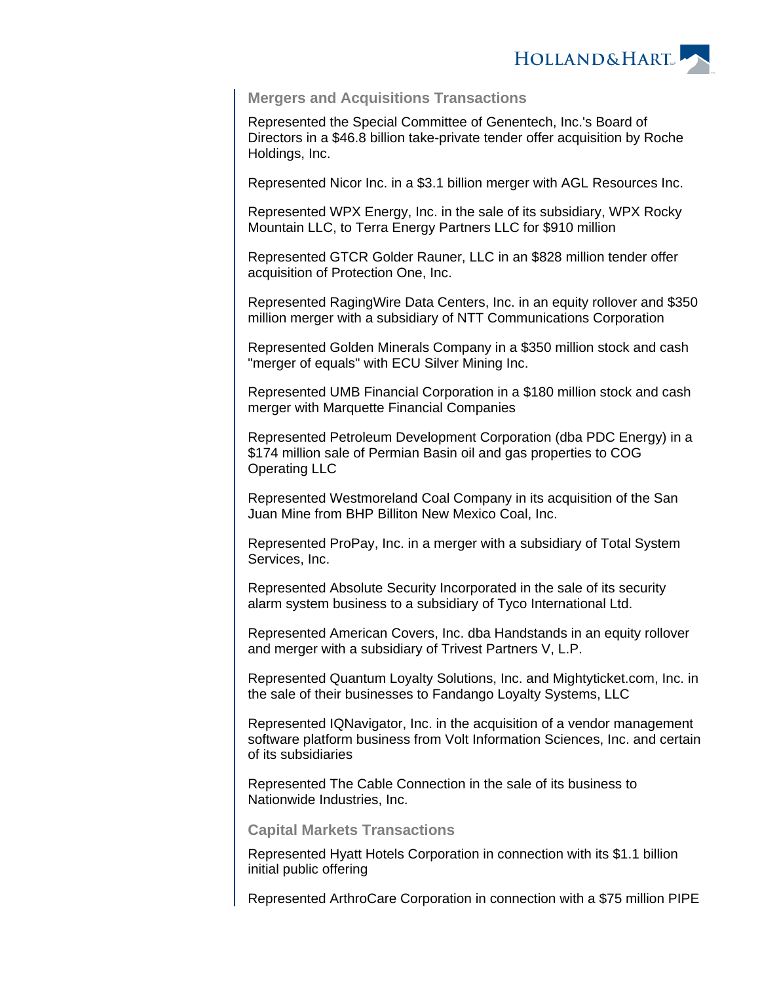

#### **Mergers and Acquisitions Transactions**

Represented the Special Committee of Genentech, Inc.'s Board of Directors in a \$46.8 billion take-private tender offer acquisition by Roche Holdings, Inc.

Represented Nicor Inc. in a \$3.1 billion merger with AGL Resources Inc.

Represented WPX Energy, Inc. in the sale of its subsidiary, WPX Rocky Mountain LLC, to Terra Energy Partners LLC for \$910 million

Represented GTCR Golder Rauner, LLC in an \$828 million tender offer acquisition of Protection One, Inc.

Represented RagingWire Data Centers, Inc. in an equity rollover and \$350 million merger with a subsidiary of NTT Communications Corporation

Represented Golden Minerals Company in a \$350 million stock and cash "merger of equals" with ECU Silver Mining Inc.

Represented UMB Financial Corporation in a \$180 million stock and cash merger with Marquette Financial Companies

Represented Petroleum Development Corporation (dba PDC Energy) in a \$174 million sale of Permian Basin oil and gas properties to COG Operating LLC

Represented Westmoreland Coal Company in its acquisition of the San Juan Mine from BHP Billiton New Mexico Coal, Inc.

Represented ProPay, Inc. in a merger with a subsidiary of Total System Services, Inc.

Represented Absolute Security Incorporated in the sale of its security alarm system business to a subsidiary of Tyco International Ltd.

Represented American Covers, Inc. dba Handstands in an equity rollover and merger with a subsidiary of Trivest Partners V, L.P.

Represented Quantum Loyalty Solutions, Inc. and Mightyticket.com, Inc. in the sale of their businesses to Fandango Loyalty Systems, LLC

Represented IQNavigator, Inc. in the acquisition of a vendor management software platform business from Volt Information Sciences, Inc. and certain of its subsidiaries

Represented The Cable Connection in the sale of its business to Nationwide Industries, Inc.

**Capital Markets Transactions**

Represented Hyatt Hotels Corporation in connection with its \$1.1 billion initial public offering

Represented ArthroCare Corporation in connection with a \$75 million PIPE